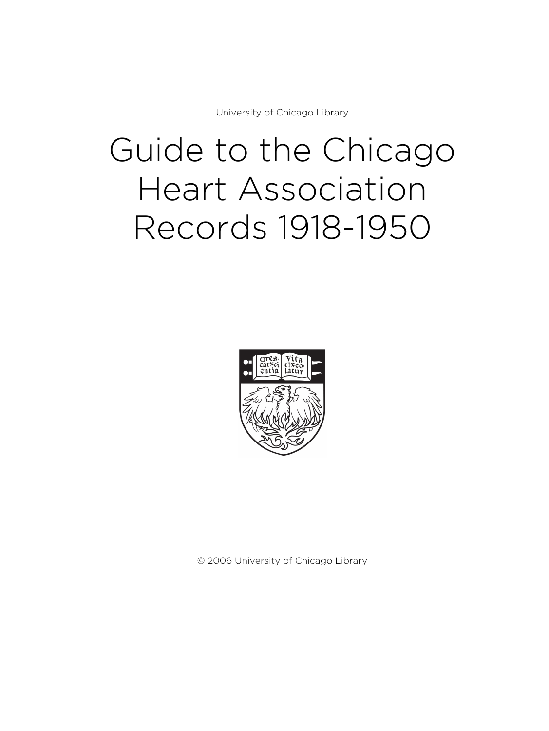University of Chicago Library

# Guide to the Chicago Heart Association Records 1918-1950



© 2006 University of Chicago Library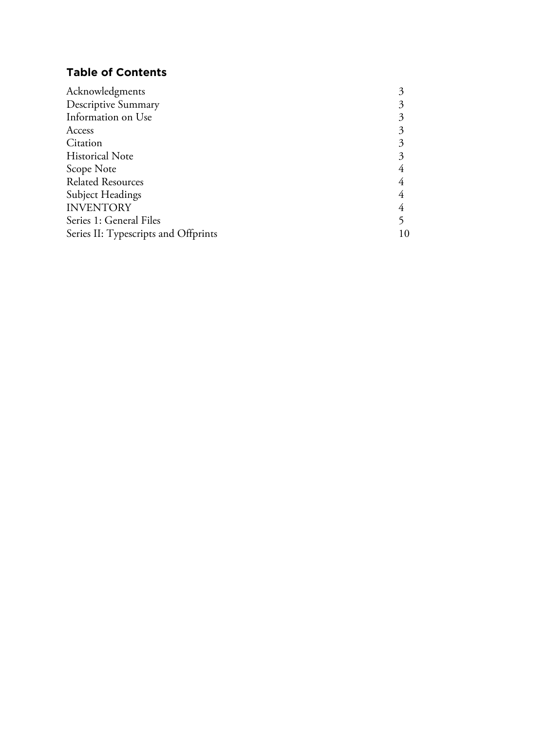# **Table of Contents**

| Acknowledgments                      |  |
|--------------------------------------|--|
| Descriptive Summary                  |  |
| Information on Use                   |  |
| Access                               |  |
| Citation                             |  |
| <b>Historical Note</b>               |  |
| Scope Note                           |  |
| <b>Related Resources</b>             |  |
| Subject Headings                     |  |
| <b>INVENTORY</b>                     |  |
| Series 1: General Files              |  |
| Series II: Typescripts and Offprints |  |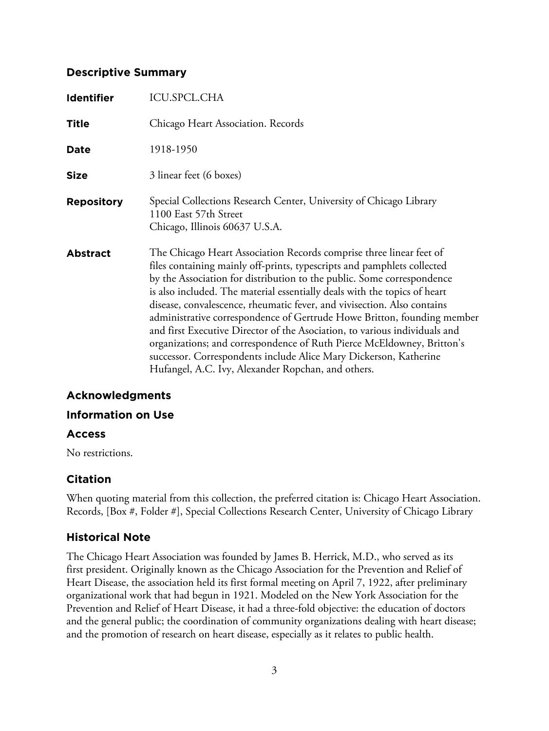## **Descriptive Summary**

| <b>Identifier</b> | <b>ICU.SPCL.CHA</b>                                                                                                                                                                                                                                                                                                                                                                                                                                                                                                                                                                                                                                                                                                                            |
|-------------------|------------------------------------------------------------------------------------------------------------------------------------------------------------------------------------------------------------------------------------------------------------------------------------------------------------------------------------------------------------------------------------------------------------------------------------------------------------------------------------------------------------------------------------------------------------------------------------------------------------------------------------------------------------------------------------------------------------------------------------------------|
| <b>Title</b>      | Chicago Heart Association. Records                                                                                                                                                                                                                                                                                                                                                                                                                                                                                                                                                                                                                                                                                                             |
| Date              | 1918-1950                                                                                                                                                                                                                                                                                                                                                                                                                                                                                                                                                                                                                                                                                                                                      |
| <b>Size</b>       | 3 linear feet (6 boxes)                                                                                                                                                                                                                                                                                                                                                                                                                                                                                                                                                                                                                                                                                                                        |
| <b>Repository</b> | Special Collections Research Center, University of Chicago Library<br>1100 East 57th Street<br>Chicago, Illinois 60637 U.S.A.                                                                                                                                                                                                                                                                                                                                                                                                                                                                                                                                                                                                                  |
| <b>Abstract</b>   | The Chicago Heart Association Records comprise three linear feet of<br>files containing mainly off-prints, typescripts and pamphlets collected<br>by the Association for distribution to the public. Some correspondence<br>is also included. The material essentially deals with the topics of heart<br>disease, convalescence, rheumatic fever, and vivisection. Also contains<br>administrative correspondence of Gertrude Howe Britton, founding member<br>and first Executive Director of the Asociation, to various individuals and<br>organizations; and correspondence of Ruth Pierce McEldowney, Britton's<br>successor. Correspondents include Alice Mary Dickerson, Katherine<br>Hufangel, A.C. Ivy, Alexander Ropchan, and others. |

# **Acknowledgments**

## **Information on Use**

## **Access**

No restrictions.

## **Citation**

When quoting material from this collection, the preferred citation is: Chicago Heart Association. Records, [Box #, Folder #], Special Collections Research Center, University of Chicago Library

# **Historical Note**

The Chicago Heart Association was founded by James B. Herrick, M.D., who served as its first president. Originally known as the Chicago Association for the Prevention and Relief of Heart Disease, the association held its first formal meeting on April 7, 1922, after preliminary organizational work that had begun in 1921. Modeled on the New York Association for the Prevention and Relief of Heart Disease, it had a three-fold objective: the education of doctors and the general public; the coordination of community organizations dealing with heart disease; and the promotion of research on heart disease, especially as it relates to public health.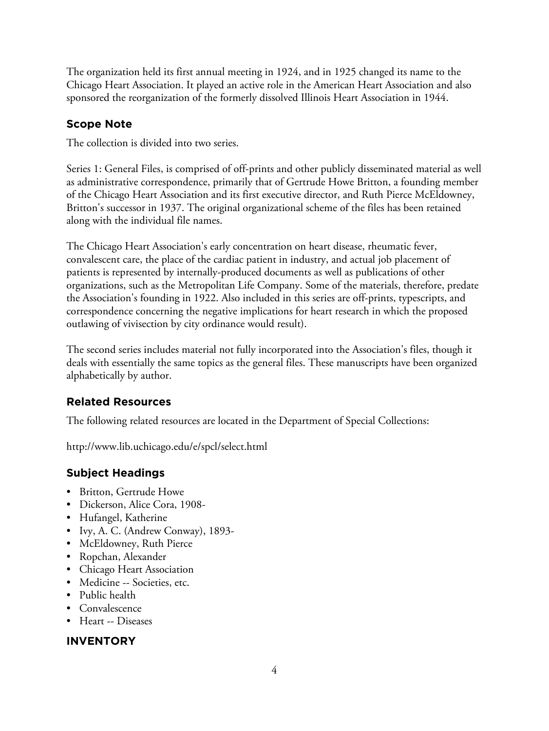The organization held its first annual meeting in 1924, and in 1925 changed its name to the Chicago Heart Association. It played an active role in the American Heart Association and also sponsored the reorganization of the formerly dissolved Illinois Heart Association in 1944.

# **Scope Note**

The collection is divided into two series.

Series 1: General Files, is comprised of off-prints and other publicly disseminated material as well as administrative correspondence, primarily that of Gertrude Howe Britton, a founding member of the Chicago Heart Association and its first executive director, and Ruth Pierce McEldowney, Britton's successor in 1937. The original organizational scheme of the files has been retained along with the individual file names.

The Chicago Heart Association's early concentration on heart disease, rheumatic fever, convalescent care, the place of the cardiac patient in industry, and actual job placement of patients is represented by internally-produced documents as well as publications of other organizations, such as the Metropolitan Life Company. Some of the materials, therefore, predate the Association's founding in 1922. Also included in this series are off-prints, typescripts, and correspondence concerning the negative implications for heart research in which the proposed outlawing of vivisection by city ordinance would result).

The second series includes material not fully incorporated into the Association's files, though it deals with essentially the same topics as the general files. These manuscripts have been organized alphabetically by author.

# **Related Resources**

The following related resources are located in the Department of Special Collections:

http://www.lib.uchicago.edu/e/spcl/select.html

# **Subject Headings**

- Britton, Gertrude Howe
- Dickerson, Alice Cora, 1908-
- Hufangel, Katherine
- Ivy, A. C. (Andrew Conway), 1893-
- McEldowney, Ruth Pierce
- Ropchan, Alexander
- Chicago Heart Association
- Medicine -- Societies, etc.
- Public health
- Convalescence
- Heart -- Diseases

## **INVENTORY**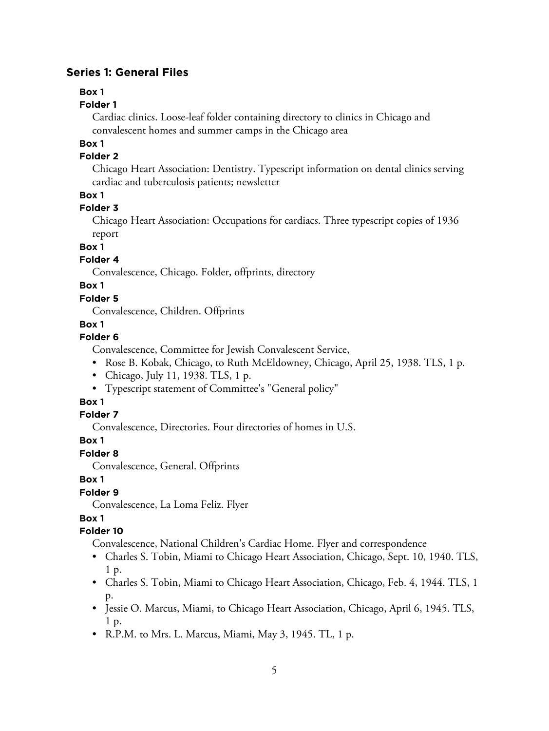## **Series 1: General Files**

# **Box 1**

## **Folder 1**

Cardiac clinics. Loose-leaf folder containing directory to clinics in Chicago and convalescent homes and summer camps in the Chicago area

## **Box 1**

## **Folder 2**

Chicago Heart Association: Dentistry. Typescript information on dental clinics serving cardiac and tuberculosis patients; newsletter

# **Box 1**

# **Folder 3**

Chicago Heart Association: Occupations for cardiacs. Three typescript copies of 1936 report

## **Box 1**

## **Folder 4**

Convalescence, Chicago. Folder, offprints, directory

# **Box 1**

## **Folder 5**

Convalescence, Children. Offprints

## **Box 1**

## **Folder 6**

Convalescence, Committee for Jewish Convalescent Service,

- Rose B. Kobak, Chicago, to Ruth McEldowney, Chicago, April 25, 1938. TLS, 1 p.
- Chicago, July 11, 1938. TLS, 1 p.
- Typescript statement of Committee's "General policy"

## **Box 1**

## **Folder 7**

Convalescence, Directories. Four directories of homes in U.S.

## **Box 1**

## **Folder 8**

Convalescence, General. Offprints

## **Box 1**

# **Folder 9**

Convalescence, La Loma Feliz. Flyer

# **Box 1**

## **Folder 10**

Convalescence, National Children's Cardiac Home. Flyer and correspondence

- Charles S. Tobin, Miami to Chicago Heart Association, Chicago, Sept. 10, 1940. TLS, 1 p.
- Charles S. Tobin, Miami to Chicago Heart Association, Chicago, Feb. 4, 1944. TLS, 1 p.
- Jessie O. Marcus, Miami, to Chicago Heart Association, Chicago, April 6, 1945. TLS, 1 p.
- R.P.M. to Mrs. L. Marcus, Miami, May 3, 1945. TL, 1 p.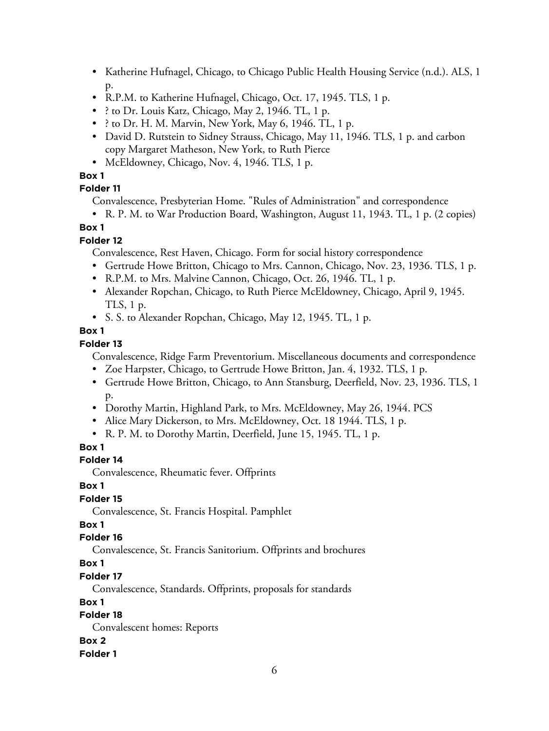- Katherine Hufnagel, Chicago, to Chicago Public Health Housing Service (n.d.). ALS, 1 p.
- R.P.M. to Katherine Hufnagel, Chicago, Oct. 17, 1945. TLS, 1 p.
- ? to Dr. Louis Katz, Chicago, May 2, 1946. TL, 1 p.
- ? to Dr. H. M. Marvin, New York, May 6, 1946. TL, 1 p.
- David D. Rutstein to Sidney Strauss, Chicago, May 11, 1946. TLS, 1 p. and carbon copy Margaret Matheson, New York, to Ruth Pierce
- McEldowney, Chicago, Nov. 4, 1946. TLS, 1 p.

# **Box 1**

# **Folder 11**

Convalescence, Presbyterian Home. "Rules of Administration" and correspondence

• R. P. M. to War Production Board, Washington, August 11, 1943. TL, 1 p. (2 copies)

# **Box 1**

# **Folder 12**

Convalescence, Rest Haven, Chicago. Form for social history correspondence

- Gertrude Howe Britton, Chicago to Mrs. Cannon, Chicago, Nov. 23, 1936. TLS, 1 p.
- R.P.M. to Mrs. Malvine Cannon, Chicago, Oct. 26, 1946. TL, 1 p.
- Alexander Ropchan, Chicago, to Ruth Pierce McEldowney, Chicago, April 9, 1945. TLS, 1 p.
- S. S. to Alexander Ropchan, Chicago, May 12, 1945. TL, 1 p.

# **Box 1**

# **Folder 13**

Convalescence, Ridge Farm Preventorium. Miscellaneous documents and correspondence

- Zoe Harpster, Chicago, to Gertrude Howe Britton, Jan. 4, 1932. TLS, 1 p.
- Gertrude Howe Britton, Chicago, to Ann Stansburg, Deerfield, Nov. 23, 1936. TLS, 1 p.
- Dorothy Martin, Highland Park, to Mrs. McEldowney, May 26, 1944. PCS
- Alice Mary Dickerson, to Mrs. McEldowney, Oct. 18 1944. TLS, 1 p.
- R. P. M. to Dorothy Martin, Deerfield, June 15, 1945. TL, 1 p.

# **Box 1**

# **Folder 14**

Convalescence, Rheumatic fever. Offprints

# **Box 1**

# **Folder 15**

Convalescence, St. Francis Hospital. Pamphlet

# **Box 1**

# **Folder 16**

Convalescence, St. Francis Sanitorium. Offprints and brochures

# **Box 1**

# **Folder 17**

Convalescence, Standards. Offprints, proposals for standards

# **Box 1**

# **Folder 18**

Convalescent homes: Reports

## **Box 2**

## **Folder 1**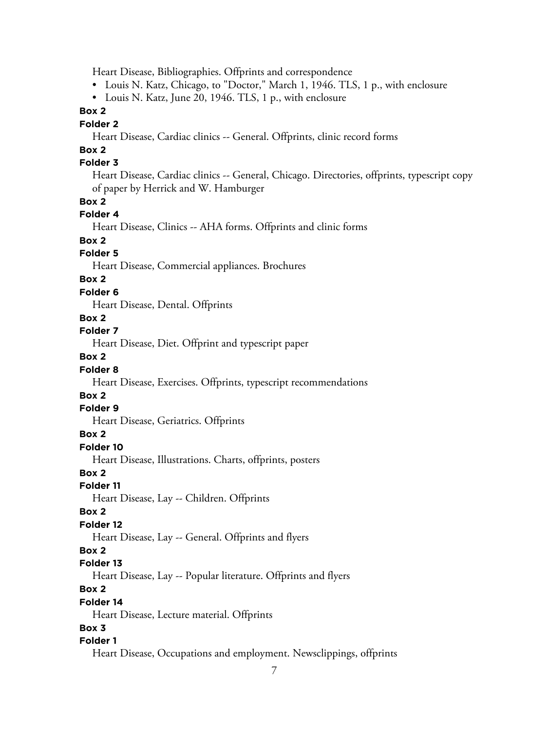Heart Disease, Bibliographies. Offprints and correspondence

• Louis N. Katz, Chicago, to "Doctor," March 1, 1946. TLS, 1 p., with enclosure

• Louis N. Katz, June 20, 1946. TLS, 1 p., with enclosure

#### **Box 2**

#### **Folder 2**

Heart Disease, Cardiac clinics -- General. Offprints, clinic record forms

# **Box 2**

## **Folder 3**

Heart Disease, Cardiac clinics -- General, Chicago. Directories, offprints, typescript copy of paper by Herrick and W. Hamburger

#### **Box 2**

#### **Folder 4**

Heart Disease, Clinics -- AHA forms. Offprints and clinic forms

#### **Box 2**

#### **Folder 5**

Heart Disease, Commercial appliances. Brochures

#### **Box 2**

#### **Folder 6**

Heart Disease, Dental. Offprints

## **Box 2**

## **Folder 7**

Heart Disease, Diet. Offprint and typescript paper

## **Box 2**

#### **Folder 8**

Heart Disease, Exercises. Offprints, typescript recommendations

#### **Box 2**

#### **Folder 9**

Heart Disease, Geriatrics. Offprints

#### **Box 2**

#### **Folder 10**

Heart Disease, Illustrations. Charts, offprints, posters

#### **Box 2**

#### **Folder 11**

Heart Disease, Lay -- Children. Offprints

#### **Box 2**

#### **Folder 12**

Heart Disease, Lay -- General. Offprints and flyers

#### **Box 2**

#### **Folder 13**

Heart Disease, Lay -- Popular literature. Offprints and flyers

## **Box 2**

#### **Folder 14**

Heart Disease, Lecture material. Offprints

#### **Box 3**

#### **Folder 1**

Heart Disease, Occupations and employment. Newsclippings, offprints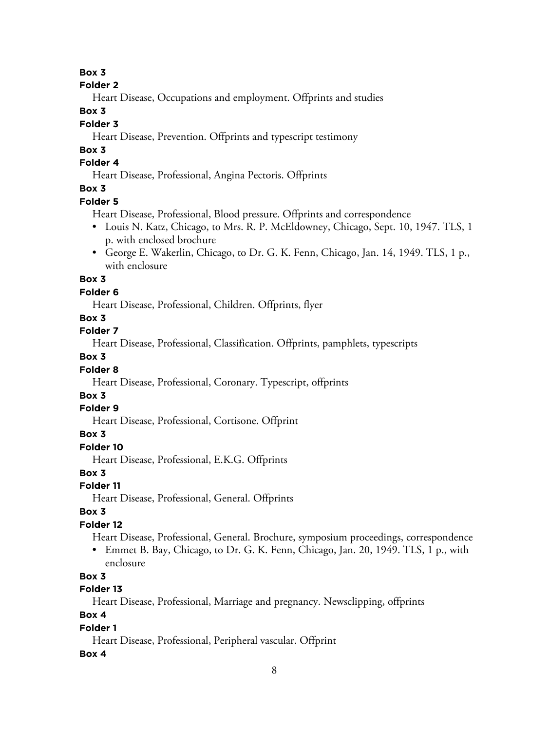#### **Box 3**

#### **Folder 2**

Heart Disease, Occupations and employment. Offprints and studies

## **Box 3**

## **Folder 3**

Heart Disease, Prevention. Offprints and typescript testimony

## **Box 3**

# **Folder 4**

Heart Disease, Professional, Angina Pectoris. Offprints

# **Box 3**

## **Folder 5**

Heart Disease, Professional, Blood pressure. Offprints and correspondence

- Louis N. Katz, Chicago, to Mrs. R. P. McEldowney, Chicago, Sept. 10, 1947. TLS, 1 p. with enclosed brochure
- George E. Wakerlin, Chicago, to Dr. G. K. Fenn, Chicago, Jan. 14, 1949. TLS, 1 p., with enclosure

## **Box 3**

## **Folder 6**

Heart Disease, Professional, Children. Offprints, flyer

## **Box 3**

**Folder 7**

Heart Disease, Professional, Classification. Offprints, pamphlets, typescripts

## **Box 3**

## **Folder 8**

Heart Disease, Professional, Coronary. Typescript, offprints

## **Box 3**

## **Folder 9**

Heart Disease, Professional, Cortisone. Offprint

## **Box 3**

## **Folder 10**

Heart Disease, Professional, E.K.G. Offprints

## **Box 3**

## **Folder 11**

Heart Disease, Professional, General. Offprints

## **Box 3**

## **Folder 12**

Heart Disease, Professional, General. Brochure, symposium proceedings, correspondence

• Emmet B. Bay, Chicago, to Dr. G. K. Fenn, Chicago, Jan. 20, 1949. TLS, 1 p., with enclosure

# **Box 3**

## **Folder 13**

Heart Disease, Professional, Marriage and pregnancy. Newsclipping, offprints

## **Box 4**

## **Folder 1**

Heart Disease, Professional, Peripheral vascular. Offprint

## **Box 4**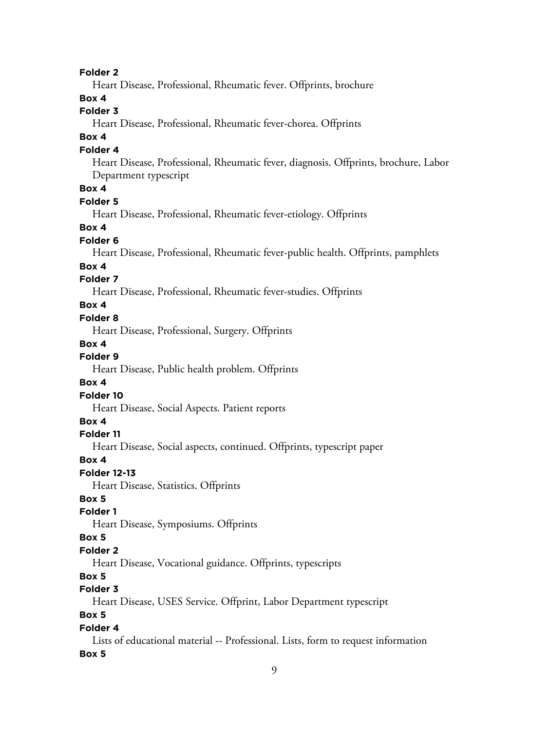9 **Folder 2** Heart Disease, Professional, Rheumatic fever. Offprints, brochure **Box 4 Folder 3** Heart Disease, Professional, Rheumatic fever-chorea. Offprints **Box 4 Folder 4** Heart Disease, Professional, Rheumatic fever, diagnosis. Offprints, brochure, Labor Department typescript **Box 4 Folder 5** Heart Disease, Professional, Rheumatic fever-etiology. Offprints **Box 4 Folder 6** Heart Disease, Professional, Rheumatic fever-public health. Offprints, pamphlets **Box 4 Folder 7** Heart Disease, Professional, Rheumatic fever-studies. Offprints **Box 4 Folder 8** Heart Disease, Professional, Surgery. Offprints **Box 4 Folder 9** Heart Disease, Public health problem. Offprints **Box 4 Folder 10** Heart Disease, Social Aspects. Patient reports **Box 4 Folder 11** Heart Disease, Social aspects, continued. Offprints, typescript paper **Box 4 Folder 12-13** Heart Disease, Statistics. Offprints **Box 5 Folder 1** Heart Disease, Symposiums. Offprints **Box 5 Folder 2** Heart Disease, Vocational guidance. Offprints, typescripts **Box 5 Folder 3** Heart Disease, USES Service. Offprint, Labor Department typescript **Box 5 Folder 4** Lists of educational material -- Professional. Lists, form to request information **Box 5**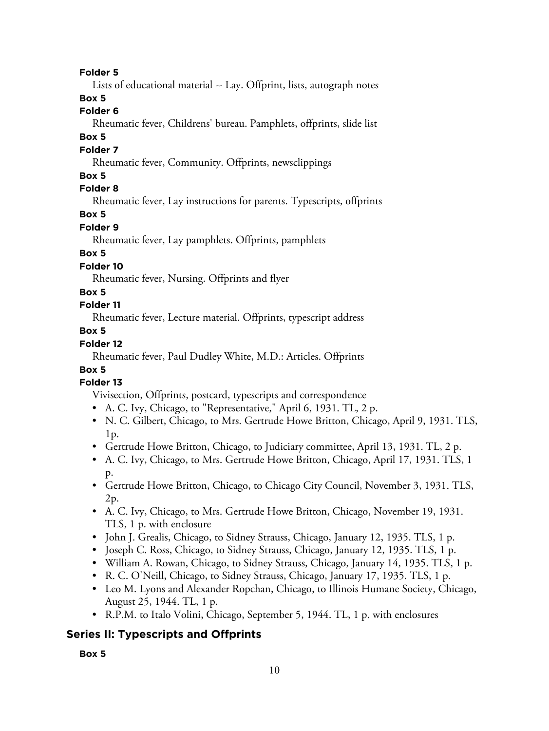#### **Folder 5**

Lists of educational material -- Lay. Offprint, lists, autograph notes

## **Box 5**

#### **Folder 6**

Rheumatic fever, Childrens' bureau. Pamphlets, offprints, slide list

#### **Box 5**

#### **Folder 7**

Rheumatic fever, Community. Offprints, newsclippings

## **Box 5**

## **Folder 8**

Rheumatic fever, Lay instructions for parents. Typescripts, offprints

## **Box 5**

## **Folder 9**

Rheumatic fever, Lay pamphlets. Offprints, pamphlets

## **Box 5**

## **Folder 10**

Rheumatic fever, Nursing. Offprints and flyer

## **Box 5**

## **Folder 11**

Rheumatic fever, Lecture material. Offprints, typescript address

## **Box 5**

## **Folder 12**

Rheumatic fever, Paul Dudley White, M.D.: Articles. Offprints

## **Box 5**

## **Folder 13**

Vivisection, Offprints, postcard, typescripts and correspondence

- A. C. Ivy, Chicago, to "Representative," April 6, 1931. TL, 2 p.
- N. C. Gilbert, Chicago, to Mrs. Gertrude Howe Britton, Chicago, April 9, 1931. TLS, 1p.
- Gertrude Howe Britton, Chicago, to Judiciary committee, April 13, 1931. TL, 2 p.
- A. C. Ivy, Chicago, to Mrs. Gertrude Howe Britton, Chicago, April 17, 1931. TLS, 1 p.
- Gertrude Howe Britton, Chicago, to Chicago City Council, November 3, 1931. TLS, 2p.
- A. C. Ivy, Chicago, to Mrs. Gertrude Howe Britton, Chicago, November 19, 1931. TLS, 1 p. with enclosure
- John J. Grealis, Chicago, to Sidney Strauss, Chicago, January 12, 1935. TLS, 1 p.
- Joseph C. Ross, Chicago, to Sidney Strauss, Chicago, January 12, 1935. TLS, 1 p.
- William A. Rowan, Chicago, to Sidney Strauss, Chicago, January 14, 1935. TLS, 1 p.
- R. C. O'Neill, Chicago, to Sidney Strauss, Chicago, January 17, 1935. TLS, 1 p.
- Leo M. Lyons and Alexander Ropchan, Chicago, to Illinois Humane Society, Chicago, August 25, 1944. TL, 1 p.
- R.P.M. to Italo Volini, Chicago, September 5, 1944. TL, 1 p. with enclosures

# **Series II: Typescripts and Offprints**

**Box 5**